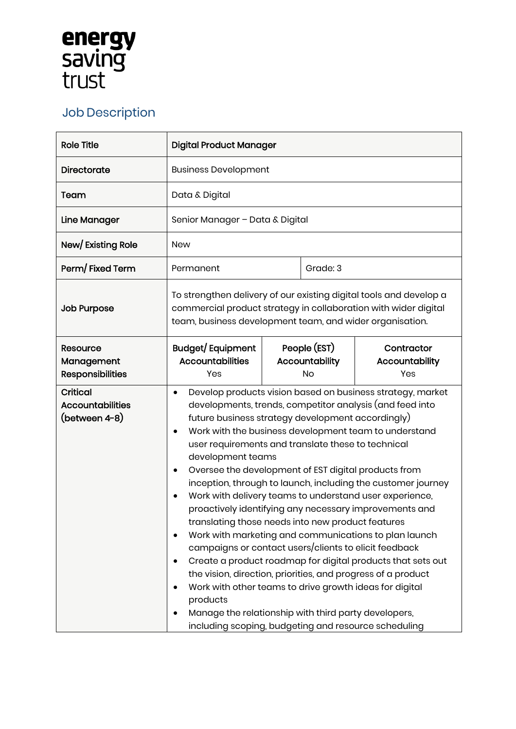## **energy<br>saving<br>trust**

## Job Description

| <b>Role Title</b>                                           | <b>Digital Product Manager</b>                                                                                                                                                                                                                                                                                                                                                                                                                                                                                                                                                                                                                                                                                                                                                                                                                                                                                                                                                                                                                                                   |  |                                             |                                     |
|-------------------------------------------------------------|----------------------------------------------------------------------------------------------------------------------------------------------------------------------------------------------------------------------------------------------------------------------------------------------------------------------------------------------------------------------------------------------------------------------------------------------------------------------------------------------------------------------------------------------------------------------------------------------------------------------------------------------------------------------------------------------------------------------------------------------------------------------------------------------------------------------------------------------------------------------------------------------------------------------------------------------------------------------------------------------------------------------------------------------------------------------------------|--|---------------------------------------------|-------------------------------------|
| Directorate                                                 | <b>Business Development</b>                                                                                                                                                                                                                                                                                                                                                                                                                                                                                                                                                                                                                                                                                                                                                                                                                                                                                                                                                                                                                                                      |  |                                             |                                     |
| Team                                                        | Data & Digital                                                                                                                                                                                                                                                                                                                                                                                                                                                                                                                                                                                                                                                                                                                                                                                                                                                                                                                                                                                                                                                                   |  |                                             |                                     |
| Line Manager                                                | Senior Manager - Data & Digital                                                                                                                                                                                                                                                                                                                                                                                                                                                                                                                                                                                                                                                                                                                                                                                                                                                                                                                                                                                                                                                  |  |                                             |                                     |
| New/Existing Role                                           | <b>New</b>                                                                                                                                                                                                                                                                                                                                                                                                                                                                                                                                                                                                                                                                                                                                                                                                                                                                                                                                                                                                                                                                       |  |                                             |                                     |
| Perm/Fixed Term                                             | Permanent                                                                                                                                                                                                                                                                                                                                                                                                                                                                                                                                                                                                                                                                                                                                                                                                                                                                                                                                                                                                                                                                        |  | Grade: 3                                    |                                     |
| <b>Job Purpose</b>                                          | To strengthen delivery of our existing digital tools and develop a<br>commercial product strategy in collaboration with wider digital<br>team, business development team, and wider organisation.                                                                                                                                                                                                                                                                                                                                                                                                                                                                                                                                                                                                                                                                                                                                                                                                                                                                                |  |                                             |                                     |
| <b>Resource</b><br>Management<br><b>Responsibilities</b>    | <b>Budget/Equipment</b><br><b>Accountabilities</b><br>Yes                                                                                                                                                                                                                                                                                                                                                                                                                                                                                                                                                                                                                                                                                                                                                                                                                                                                                                                                                                                                                        |  | People (EST)<br>Accountability<br><b>No</b> | Contractor<br>Accountability<br>Yes |
| <b>Critical</b><br><b>Accountabilities</b><br>(between 4-8) | Develop products vision based on business strategy, market<br>٠<br>developments, trends, competitor analysis (and feed into<br>future business strategy development accordingly)<br>Work with the business development team to understand<br>$\bullet$<br>user requirements and translate these to technical<br>development teams<br>Oversee the development of EST digital products from<br>٠<br>inception, through to launch, including the customer journey<br>Work with delivery teams to understand user experience,<br>proactively identifying any necessary improvements and<br>translating those needs into new product features<br>Work with marketing and communications to plan launch<br>campaigns or contact users/clients to elicit feedback<br>Create a product roadmap for digital products that sets out<br>the vision, direction, priorities, and progress of a product<br>Work with other teams to drive growth ideas for digital<br>products<br>Manage the relationship with third party developers,<br>including scoping, budgeting and resource scheduling |  |                                             |                                     |